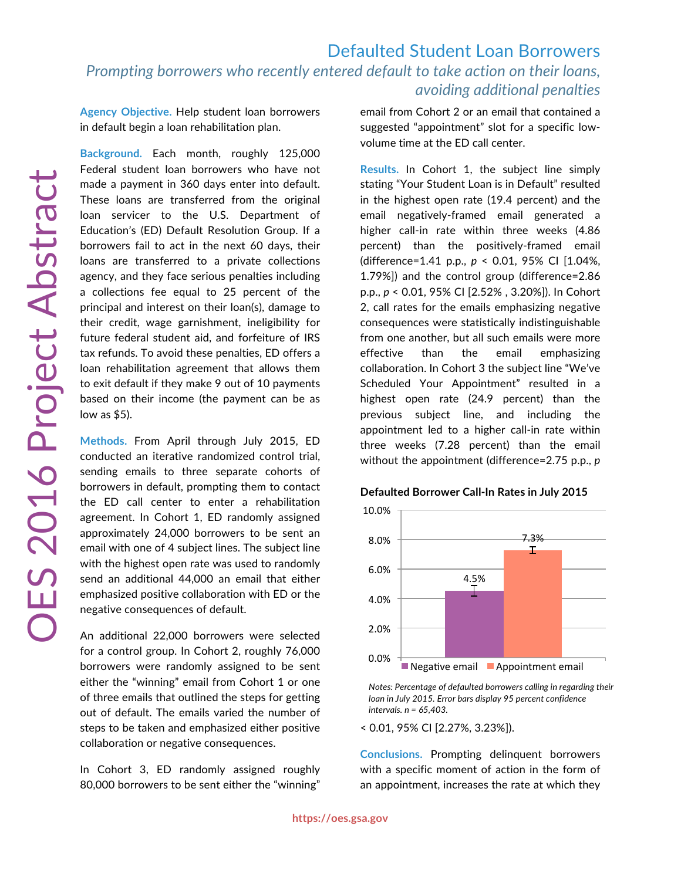## Defaulted Student Loan Borrowers *Prompting borrowers who recently entered default to take action on their loans, avoiding additional penalties* **Agency Objective.** Help student loan borrowers in default begin a loan rehabilitation plan. **Background.** Each month, roughly 125,000 Federal student loan borrowers who have not made a payment in 360 days enter into default. These loans are transferred from the original

loan servicer to the U.S. Department of Education's (ED) Default Resolution Group. If a borrowers fail to act in the next 60 days, their loans are transferred to a private collections agency, and they face serious penalties including a collections fee equal to 25 percent of the principal and interest on their loan(s), damage to their credit, wage garnishment, ineligibility for future federal student aid, and forfeiture of IRS tax refunds. To avoid these penalties, ED offers a loan rehabilitation agreement that allows them to exit default if they make 9 out of 10 payments based on their income (the payment can be as low as \$5).

**Methods.** From April through July 2015, ED conducted an iterative randomized control trial, sending emails to three separate cohorts of borrowers in default, prompting them to contact the ED call center to enter a rehabilitation agreement. In Cohort 1, ED randomly assigned approximately 24,000 borrowers to be sent an email with one of 4 subject lines. The subject line with the highest open rate was used to randomly send an additional 44,000 an email that either emphasized positive collaboration with ED or the negative consequences of default.

An additional 22,000 borrowers were selected for a control group. In Cohort 2, roughly 76,000 borrowers were randomly assigned to be sent either the "winning" email from Cohort 1 or one of three emails that outlined the steps for getting out of default. The emails varied the number of steps to be taken and emphasized either positive collaboration or negative consequences.

In Cohort 3, ED randomly assigned roughly 80,000 borrowers to be sent either the "winning"

email from Cohort 2 or an email that contained a suggested "appointment" slot for a specific lowvolume time at the ED call center.

**Results.** In Cohort 1, the subject line simply stating "Your Student Loan is in Default" resulted in the highest open rate (19.4 percent) and the email negatively-framed email generated a higher call-in rate within three weeks (4.86 percent) than the positively-framed email (difference=1.41 p.p., *p* < 0.01, 95% CI [1.04%, 1.79%]) and the control group (difference=2.86 p.p., *p* < 0.01, 95% CI [2.52% , 3.20%]). In Cohort 2, call rates for the emails emphasizing negative consequences were statistically indistinguishable from one another, but all such emails were more effective than the email emphasizing collaboration. In Cohort 3 the subject line "We've Scheduled Your Appointment" resulted in a highest open rate (24.9 percent) than the previous subject line, and including the appointment led to a higher call-in rate within three weeks (7.28 percent) than the email without the appointment (difference=2.75 p.p., *p*

## **Defaulted Borrower Call-In Rates in July 2015**



*Notes: Percentage of defaulted borrowers calling in regarding their loan in July 2015. Error bars display 95 percent confidence intervals. n = 65,403.*

< 0.01, 95% CI [2.27%, 3.23%]).

**Conclusions.** Prompting delinquent borrowers with a specific moment of action in the form of an appointment, increases the rate at which they